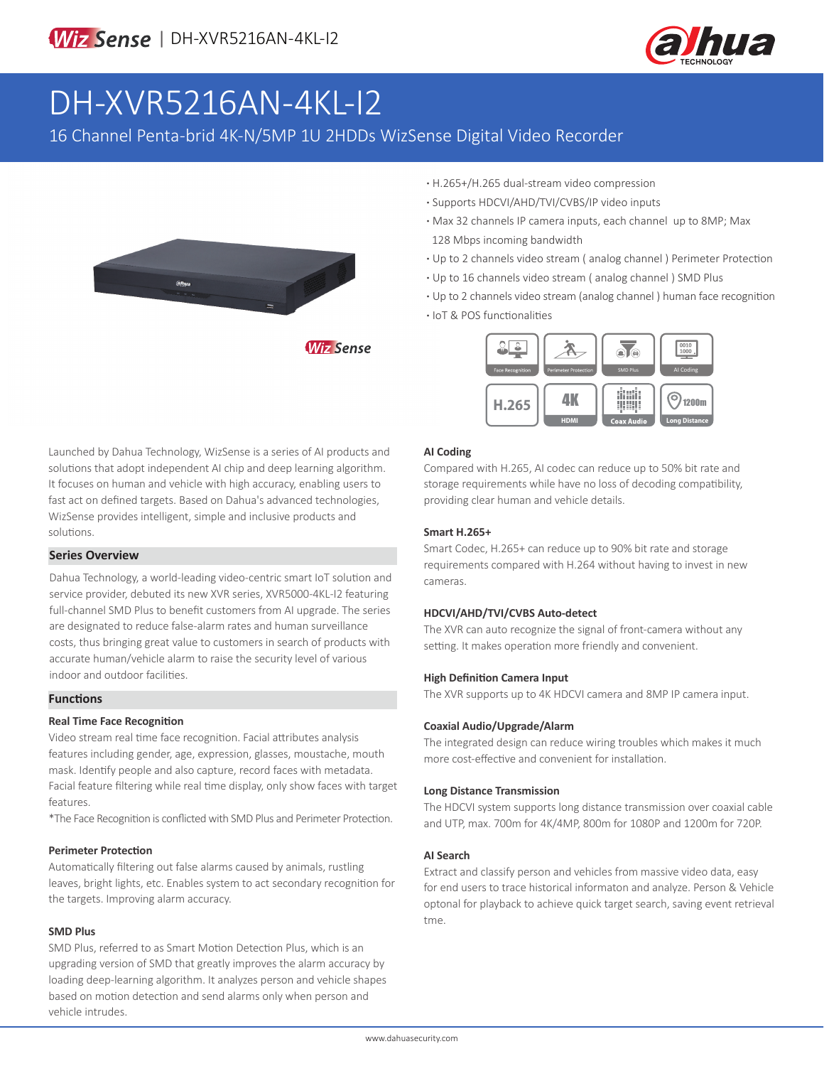

# DH-XVR5216AN-4KL-I2

16 Channel Penta-brid 4K-N/5MP 1U 2HDDs WizSense Digital Video Recorder



**·** H.265+/H.265 dual-stream video compression

- **·** Supports HDCVI/AHD/TVI/CVBS/IP video inputs
- **·** Max 32 channels IP camera inputs, each channel up to 8MP; Max 128 Mbps incoming bandwidth
- **·** Up to 2 channels video stream ( analog channel ) Perimeter Protection
- **·** Up to 16 channels video stream ( analog channel ) SMD Plus
- **·** Up to 2 channels video stream (analog channel ) human face recognition
- **·** IoT & POS functionalities



Launched by Dahua Technology, WizSense is a series of AI products and solutions that adopt independent AI chip and deep learning algorithm. It focuses on human and vehicle with high accuracy, enabling users to fast act on defined targets. Based on Dahua's advanced technologies, WizSense provides intelligent, simple and inclusive products and solutions.

#### **Series Overview**

Dahua Technology, a world-leading video-centric smart IoT solution and service provider, debuted its new XVR series, XVR5000-4KL-I2 featuring full-channel SMD Plus to benefit customers from AI upgrade. The series are designated to reduce false-alarm rates and human surveillance costs, thus bringing great value to customers in search of products with accurate human/vehicle alarm to raise the security level of various indoor and outdoor facilities.

#### **Functions**

#### **Real Time Face Recognition**

Video stream real time face recognition. Facial attributes analysis features including gender, age, expression, glasses, moustache, mouth mask. Identify people and also capture, record faces with metadata. Facial feature filtering while real time display, only show faces with target features.

\*The Face Recognition is conflicted with SMD Plus and Perimeter Protection.

#### **Perimeter Protection**

Automatically filtering out false alarms caused by animals, rustling leaves, bright lights, etc. Enables system to act secondary recognition for the targets. Improving alarm accuracy.

#### **SMD Plus**

SMD Plus, referred to as Smart Motion Detection Plus, which is an upgrading version of SMD that greatly improves the alarm accuracy by loading deep-learning algorithm. It analyzes person and vehicle shapes based on motion detection and send alarms only when person and vehicle intrudes.

#### **AI Coding**

Compared with H.265, AI codec can reduce up to 50% bit rate and storage requirements while have no loss of decoding compatibility, providing clear human and vehicle details.

#### **Smart H.265+**

Smart Codec, H.265+ can reduce up to 90% bit rate and storage requirements compared with H.264 without having to invest in new cameras.

#### **HDCVI/AHD/TVI/CVBS Auto-detect**

The XVR can auto recognize the signal of front-camera without any setting. It makes operation more friendly and convenient.

#### **High Definition Camera Input**

The XVR supports up to 4K HDCVI camera and 8MP IP camera input.

#### **Coaxial Audio/Upgrade/Alarm**

The integrated design can reduce wiring troubles which makes it much more cost-effective and convenient for installation.

#### **Long Distance Transmission**

The HDCVI system supports long distance transmission over coaxial cable and UTP, max. 700m for 4K/4MP, 800m for 1080P and 1200m for 720P.

#### **AI Search**

Extract and classify person and vehicles from massive video data, easy for end users to trace historical informaton and analyze. Person & Vehicle optonal for playback to achieve quick target search, saving event retrieval tme.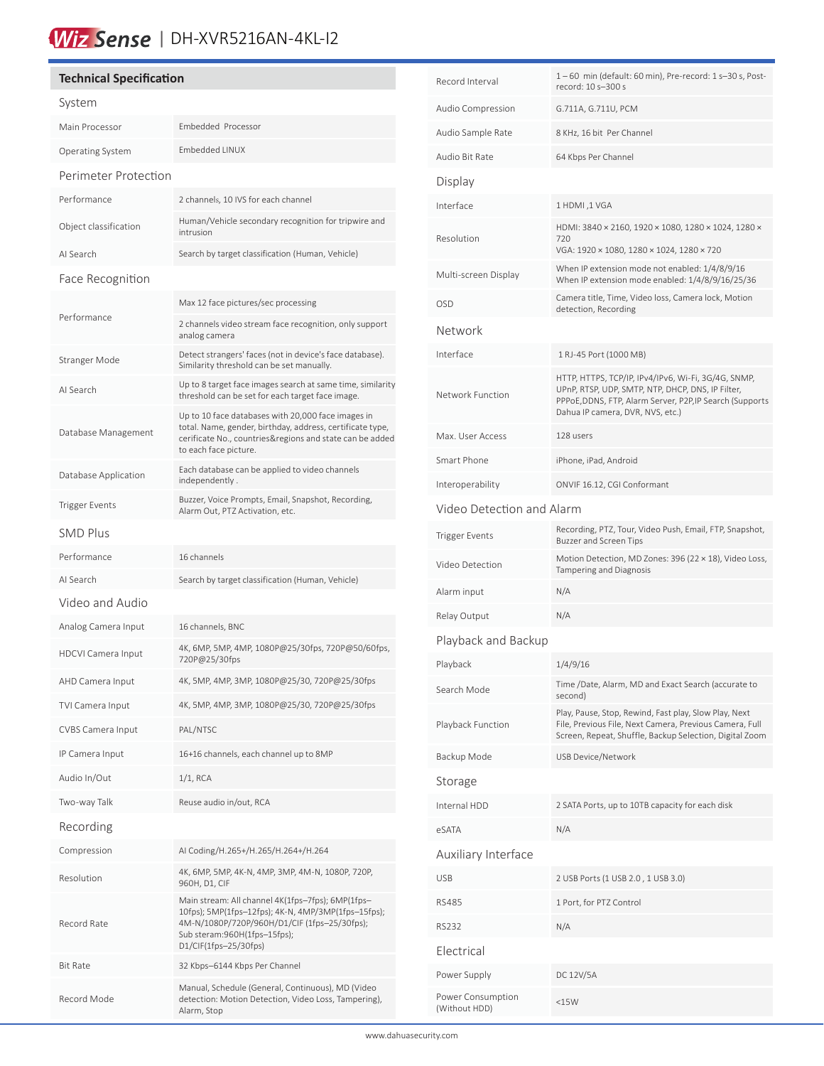## Wiz Sense | DH-XVR5216AN-4KL-I2

#### **Technical Specification** System Main Processor Embedded Processor Operating System Embedded LINUX Perimeter Protection Performance 2 channels, 10 IVS for each channel Object classification Human/Vehicle secondary recognition for tripwire and intrusion AI Search Search by target classification (Human, Vehicle) Face Recognition Performance Max 12 face pictures/sec processing 2 channels video stream face recognition, only support analog camera Stranger Mode Detect strangers' faces (not in device's face database). Similarity threshold can be set manually. AI Search Up to 8 target face images search at same time, similarity threshold can be set for each target face image. Database Management Up to 10 face databases with 20,000 face images in total. Name, gender, birthday, address, certificate type, cerificate No., countries&regions and state can be added to each face picture. Database Application Each database can be applied to video channels independently . Trigger Events<br>Alarm Out, BTZ Astivation ate Alarm Out, PTZ Activation, etc. SMD Plus Performance 16 channels AI Search Search by target classification (Human, Vehicle) Video and Audio Analog Camera Input 16 channels, BNC HDCVI Camera Input 4K, 6MP, 5MP, 4MP, 1080P@25/30fps, 720P@50/60fps, 720P@25/30fps AHD Camera Input 4K, 5MP, 4MP, 3MP, 1080P@25/30, 720P@25/30fps TVI Camera Input 4K, 5MP, 4MP, 3MP, 1080P@25/30, 720P@25/30fps CVBS Camera Input PAL/NTSC IP Camera Input 16+16 channels, each channel up to 8MP Audio In/Out 1/1, RCA Two-way Talk Reuse audio in/out, RCA Recording Compression AI Coding/H.265+/H.265/H.264+/H.264 Resolution 4K, 6MP, 5MP, 4K-N, 4MP, 3MP, 4M-N, 1080P, 720P, 960H, D1, CIF Record Rate Main stream: All channel 4K(1fps–7fps); 6MP(1fps– 10fps); 5MP(1fps–12fps); 4K-N, 4MP/3MP(1fps–15fps); 4M-N/1080P/720P/960H/D1/CIF (1fps–25/30fps); Sub steram:960H(1fps–15fps); D1/CIF(1fps–25/30fps) Bit Rate 32 Kbps–6144 Kbps Per Channel Record Mode Manual, Schedule (General, Continuous), MD (Video detection: Motion Detection, Video Loss, Tampering), Alarm, Stop

í

| Record Interval                    | 1-60 min (default: 60 min), Pre-record: 1 s-30 s, Post-<br>record: 10 s-300 s                                                                                                                          |  |  |  |
|------------------------------------|--------------------------------------------------------------------------------------------------------------------------------------------------------------------------------------------------------|--|--|--|
| Audio Compression                  | G.711A, G.711U, PCM                                                                                                                                                                                    |  |  |  |
| Audio Sample Rate                  | 8 KHz, 16 bit Per Channel                                                                                                                                                                              |  |  |  |
| Audio Bit Rate                     | 64 Kbps Per Channel                                                                                                                                                                                    |  |  |  |
| Display                            |                                                                                                                                                                                                        |  |  |  |
| Interface                          | 1 HDMI, 1 VGA                                                                                                                                                                                          |  |  |  |
| Resolution                         | HDMI: 3840 × 2160, 1920 × 1080, 1280 × 1024, 1280 ×<br>720<br>VGA: 1920 × 1080, 1280 × 1024, 1280 × 720                                                                                                |  |  |  |
| Multi-screen Display               | When IP extension mode not enabled: 1/4/8/9/16<br>When IP extension mode enabled: 1/4/8/9/16/25/36                                                                                                     |  |  |  |
| <b>OSD</b>                         | Camera title, Time, Video loss, Camera lock, Motion<br>detection, Recording                                                                                                                            |  |  |  |
| Network                            |                                                                                                                                                                                                        |  |  |  |
| Interface                          | 1 RJ-45 Port (1000 MB)                                                                                                                                                                                 |  |  |  |
| Network Function                   | HTTP, HTTPS, TCP/IP, IPv4/IPv6, Wi-Fi, 3G/4G, SNMP,<br>UPnP, RTSP, UDP, SMTP, NTP, DHCP, DNS, IP Filter,<br>PPPoE,DDNS, FTP, Alarm Server, P2P,IP Search (Supports<br>Dahua IP camera, DVR, NVS, etc.) |  |  |  |
| Max. User Access                   | 128 users                                                                                                                                                                                              |  |  |  |
| Smart Phone                        | iPhone, iPad, Android                                                                                                                                                                                  |  |  |  |
| Interoperability                   | ONVIF 16.12, CGI Conformant                                                                                                                                                                            |  |  |  |
| Video Detection and Alarm          |                                                                                                                                                                                                        |  |  |  |
| <b>Trigger Events</b>              | Recording, PTZ, Tour, Video Push, Email, FTP, Snapshot,<br><b>Buzzer and Screen Tips</b>                                                                                                               |  |  |  |
| Video Detection                    | Motion Detection, MD Zones: 396 (22 × 18), Video Loss,<br>Tampering and Diagnosis                                                                                                                      |  |  |  |
| Alarm input                        | N/A                                                                                                                                                                                                    |  |  |  |
| Relay Output                       | N/A                                                                                                                                                                                                    |  |  |  |
| Playback and Backup                |                                                                                                                                                                                                        |  |  |  |
| Playback                           | 1/4/9/16                                                                                                                                                                                               |  |  |  |
| Search Mode                        | Time /Date, Alarm, MD and Exact Search (accurate to<br>second)                                                                                                                                         |  |  |  |
| Playback Function                  | Play, Pause, Stop, Rewind, Fast play, Slow Play, Next<br>File, Previous File, Next Camera, Previous Camera, Full<br>Screen, Repeat, Shuffle, Backup Selection, Digital Zoom                            |  |  |  |
| Backup Mode                        | <b>USB Device/Network</b>                                                                                                                                                                              |  |  |  |
| Storage                            |                                                                                                                                                                                                        |  |  |  |
| Internal HDD                       | 2 SATA Ports, up to 10TB capacity for each disk                                                                                                                                                        |  |  |  |
| eSATA                              | N/A                                                                                                                                                                                                    |  |  |  |
| Auxiliary Interface                |                                                                                                                                                                                                        |  |  |  |
| <b>USB</b>                         | 2 USB Ports (1 USB 2.0, 1 USB 3.0)                                                                                                                                                                     |  |  |  |
| <b>RS485</b>                       | 1 Port, for PTZ Control                                                                                                                                                                                |  |  |  |
| RS232                              | N/A                                                                                                                                                                                                    |  |  |  |
| Electrical                         |                                                                                                                                                                                                        |  |  |  |
| Power Supply                       | DC 12V/5A                                                                                                                                                                                              |  |  |  |
| Power Consumption<br>(Without HDD) | $<$ 15 $W$                                                                                                                                                                                             |  |  |  |